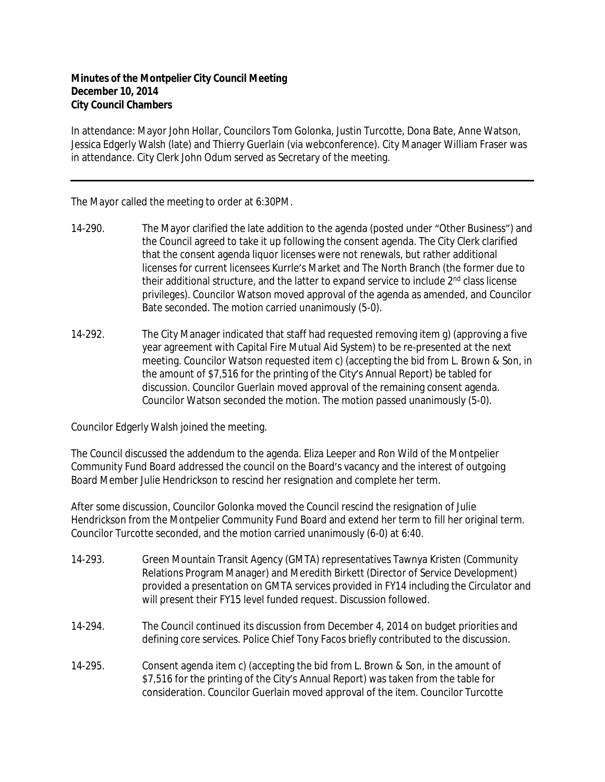## **Minutes of the Montpelier City Council Meeting December 10, 2014 City Council Chambers**

In attendance: Mayor John Hollar, Councilors Tom Golonka, Justin Turcotte, Dona Bate, Anne Watson, Jessica Edgerly Walsh (late) and Thierry Guerlain (via webconference). City Manager William Fraser was in attendance. City Clerk John Odum served as Secretary of the meeting.

The Mayor called the meeting to order at 6:30PM.

- 14-290. The Mayor clarified the late addition to the agenda (posted under "Other Business") and the Council agreed to take it up following the consent agenda. The City Clerk clarified that the consent agenda liquor licenses were not renewals, but rather additional licenses for current licensees Kurrle's Market and The North Branch (the former due to their additional structure, and the latter to expand service to include 2<sup>nd</sup> class license privileges). Councilor Watson moved approval of the agenda as amended, and Councilor Bate seconded. The motion carried unanimously (5-0).
- 14-292. The City Manager indicated that staff had requested removing item g) (approving a five year agreement with Capital Fire Mutual Aid System) to be re-presented at the next meeting. Councilor Watson requested item c) (accepting the bid from L. Brown & Son, in the amount of \$7,516 for the printing of the City's Annual Report) be tabled for discussion. Councilor Guerlain moved approval of the remaining consent agenda. Councilor Watson seconded the motion. The motion passed unanimously (5-0).

Councilor Edgerly Walsh joined the meeting.

The Council discussed the addendum to the agenda. Eliza Leeper and Ron Wild of the Montpelier Community Fund Board addressed the council on the Board's vacancy and the interest of outgoing Board Member Julie Hendrickson to rescind her resignation and complete her term.

After some discussion, Councilor Golonka moved the Council rescind the resignation of Julie Hendrickson from the Montpelier Community Fund Board and extend her term to fill her original term. Councilor Turcotte seconded, and the motion carried unanimously (6-0) at 6:40.

- 14-293. Green Mountain Transit Agency (GMTA) representatives Tawnya Kristen (Community Relations Program Manager) and Meredith Birkett (Director of Service Development) provided a presentation on GMTA services provided in FY14 including the Circulator and will present their FY15 level funded request. Discussion followed.
- 14-294. The Council continued its discussion from December 4, 2014 on budget priorities and defining core services. Police Chief Tony Facos briefly contributed to the discussion.
- 14-295. Consent agenda item c) (accepting the bid from L. Brown & Son, in the amount of \$7,516 for the printing of the City's Annual Report) was taken from the table for consideration. Councilor Guerlain moved approval of the item. Councilor Turcotte